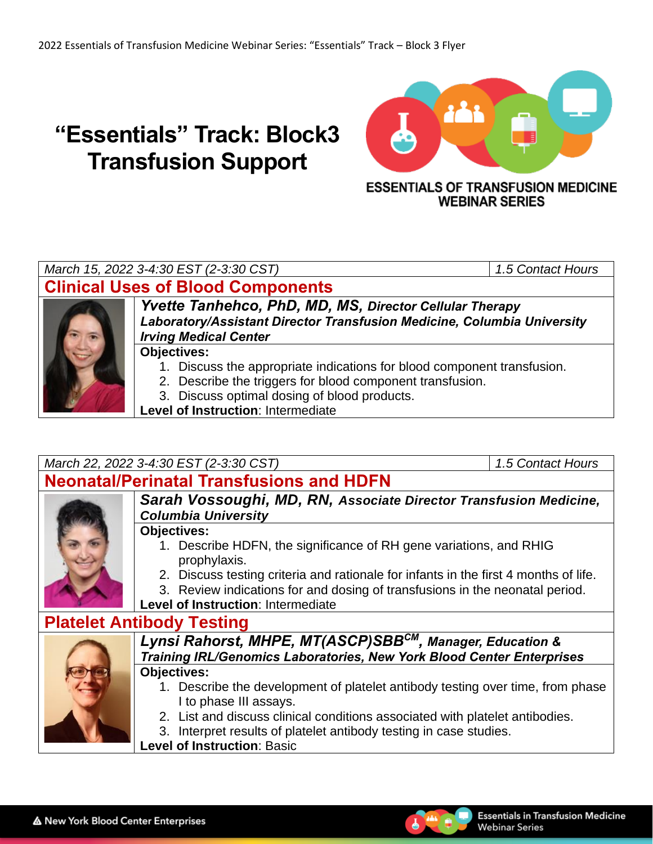# **"Essentials" Track: Block3 Transfusion Support**



**WEBINAR SERIES** 

### *March 15, 2022 3-4:30 EST (2-3:30 CST) 1.5 Contact Hours*

# **Clinical Uses of Blood Components**



*Yvette Tanhehco, PhD, MD, MS, Director Cellular Therapy Laboratory/Assistant Director Transfusion Medicine, Columbia University Irving Medical Center*

#### **Objectives:**

- 1. Discuss the appropriate indications for blood component transfusion.
- 2. Describe the triggers for blood component transfusion.
- 3. Discuss optimal dosing of blood products.
- **Level of Instruction**: Intermediate

## *March 22, 2022 3-4:30 EST (2-3:30 CST) 1.5 Contact Hours*

# **Neonatal/Perinatal Transfusions and HDFN**



#### *Sarah Vossoughi, MD, RN, Associate Director Transfusion Medicine, Columbia University*

#### **Objectives:**

- 1. Describe HDFN, the significance of RH gene variations, and RHIG prophylaxis.
- 2. Discuss testing criteria and rationale for infants in the first 4 months of life.
- 3. Review indications for and dosing of transfusions in the neonatal period.
- **Level of Instruction**: Intermediate

## **Platelet Antibody Testing**



#### *Lynsi Rahorst, MHPE, MT(ASCP)SBBCM, Manager, Education & Training IRL/Genomics Laboratories, New York Blood Center Enterprises* **Objectives:**

- 1. Describe the development of platelet antibody testing over time, from phase I to phase III assays.
- 2. List and discuss clinical conditions associated with platelet antibodies.
- 3. Interpret results of platelet antibody testing in case studies.

**Level of Instruction**: Basic